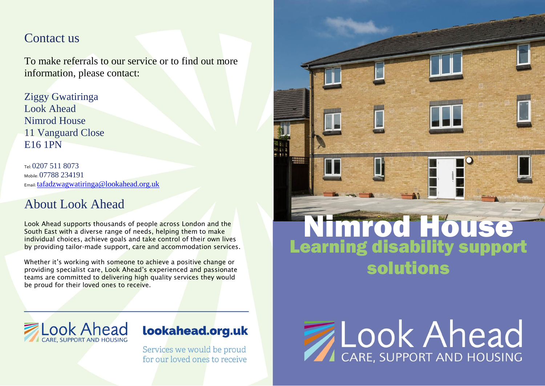#### Contact us

To make referrals to our service or to find out more information, please contact:

Ziggy Gwatiringa Look Ahead Nimrod House 11 Vanguard Close E16 1PN

Tel: 0207 511 8073 Mobile: 07788 234191 Email: [tafadzwagwatiringa@lookahead.org.uk](mailto:tafadzwagwatiringa@lookahead.org.uk)

## About Look Ahead

Look Ahead supports thousands of people across London and the South East with a diverse range of needs, helping them to make individual choices, achieve goals and take control of their own lives by providing tailor-made support, care and accommodation services.

Whether it's working with someone to achieve a positive change or providing specialist care, Look Ahead's experienced and passionate teams are committed to delivering high quality services they would be proud for their loved ones to receive.



# lookahead.org.uk

Services we would be proud for our loved ones to receive



48